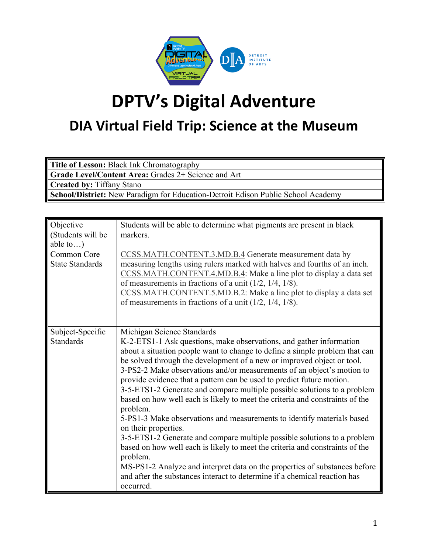

## **DPTV's Digital Adventure**

## **DIA Virtual Field Trip: Science at the Museum**

**Title of Lesson:** Black Ink Chromatography

**Grade Level/Content Area:** Grades 2+ Science and Art

**Created by:** Tiffany Stano

**School/District:** New Paradigm for Education-Detroit Edison Public School Academy

| Objective<br>(Students will be<br>able to) | Students will be able to determine what pigments are present in black<br>markers.                                                                                                                                                                                                                                                                                                                                                                                                                                                                                                                                                                                                                                                                                                                                                                                                                                                                                                                                                       |
|--------------------------------------------|-----------------------------------------------------------------------------------------------------------------------------------------------------------------------------------------------------------------------------------------------------------------------------------------------------------------------------------------------------------------------------------------------------------------------------------------------------------------------------------------------------------------------------------------------------------------------------------------------------------------------------------------------------------------------------------------------------------------------------------------------------------------------------------------------------------------------------------------------------------------------------------------------------------------------------------------------------------------------------------------------------------------------------------------|
| Common Core<br><b>State Standards</b>      | CCSS.MATH.CONTENT.3.MD.B.4 Generate measurement data by<br>measuring lengths using rulers marked with halves and fourths of an inch.<br>CCSS.MATH.CONTENT.4.MD.B.4: Make a line plot to display a data set<br>of measurements in fractions of a unit $(1/2, 1/4, 1/8)$ .<br>CCSS.MATH.CONTENT.5.MD.B.2: Make a line plot to display a data set<br>of measurements in fractions of a unit $(1/2, 1/4, 1/8)$ .                                                                                                                                                                                                                                                                                                                                                                                                                                                                                                                                                                                                                            |
| Subject-Specific<br><b>Standards</b>       | Michigan Science Standards<br>K-2-ETS1-1 Ask questions, make observations, and gather information<br>about a situation people want to change to define a simple problem that can<br>be solved through the development of a new or improved object or tool.<br>3-PS2-2 Make observations and/or measurements of an object's motion to<br>provide evidence that a pattern can be used to predict future motion.<br>3-5-ETS1-2 Generate and compare multiple possible solutions to a problem<br>based on how well each is likely to meet the criteria and constraints of the<br>problem.<br>5-PS1-3 Make observations and measurements to identify materials based<br>on their properties.<br>3-5-ETS1-2 Generate and compare multiple possible solutions to a problem<br>based on how well each is likely to meet the criteria and constraints of the<br>problem.<br>MS-PS1-2 Analyze and interpret data on the properties of substances before<br>and after the substances interact to determine if a chemical reaction has<br>occurred. |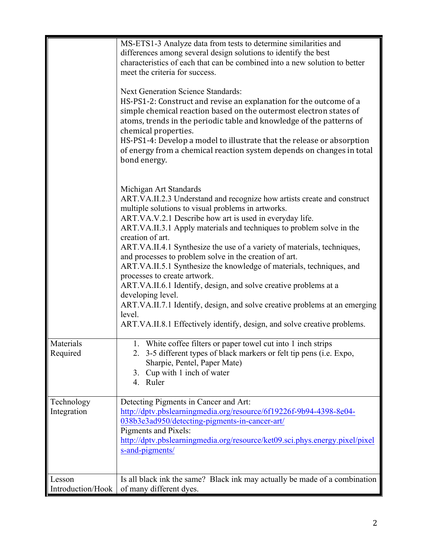| Materials<br>Required       | MS-ETS1-3 Analyze data from tests to determine similarities and<br>differences among several design solutions to identify the best<br>characteristics of each that can be combined into a new solution to better<br>meet the criteria for success.<br><b>Next Generation Science Standards:</b><br>HS-PS1-2: Construct and revise an explanation for the outcome of a<br>simple chemical reaction based on the outermost electron states of<br>atoms, trends in the periodic table and knowledge of the patterns of<br>chemical properties.<br>HS-PS1-4: Develop a model to illustrate that the release or absorption<br>of energy from a chemical reaction system depends on changes in total<br>bond energy.<br>Michigan Art Standards<br>ART.VA.II.2.3 Understand and recognize how artists create and construct<br>multiple solutions to visual problems in artworks.<br>ART.VA.V.2.1 Describe how art is used in everyday life.<br>ART.VA.II.3.1 Apply materials and techniques to problem solve in the<br>creation of art.<br>ART.VA.II.4.1 Synthesize the use of a variety of materials, techniques,<br>and processes to problem solve in the creation of art.<br>ART.VA.II.5.1 Synthesize the knowledge of materials, techniques, and<br>processes to create artwork.<br>ART.VA.II.6.1 Identify, design, and solve creative problems at a<br>developing level.<br>ART.VA.II.7.1 Identify, design, and solve creative problems at an emerging<br>level.<br>ART.VA.II.8.1 Effectively identify, design, and solve creative problems.<br>1. White coffee filters or paper towel cut into 1 inch strips<br>2. 3-5 different types of black markers or felt tip pens (i.e. Expo,<br>Sharpie, Pentel, Paper Mate)<br>Cup with 1 inch of water<br>3. |
|-----------------------------|-------------------------------------------------------------------------------------------------------------------------------------------------------------------------------------------------------------------------------------------------------------------------------------------------------------------------------------------------------------------------------------------------------------------------------------------------------------------------------------------------------------------------------------------------------------------------------------------------------------------------------------------------------------------------------------------------------------------------------------------------------------------------------------------------------------------------------------------------------------------------------------------------------------------------------------------------------------------------------------------------------------------------------------------------------------------------------------------------------------------------------------------------------------------------------------------------------------------------------------------------------------------------------------------------------------------------------------------------------------------------------------------------------------------------------------------------------------------------------------------------------------------------------------------------------------------------------------------------------------------------------------------------------------------------------------------------------------------------------------------------------|
|                             | 4. Ruler                                                                                                                                                                                                                                                                                                                                                                                                                                                                                                                                                                                                                                                                                                                                                                                                                                                                                                                                                                                                                                                                                                                                                                                                                                                                                                                                                                                                                                                                                                                                                                                                                                                                                                                                              |
| Technology<br>Integration   | Detecting Pigments in Cancer and Art:<br>http://dptv.pbslearningmedia.org/resource/6f19226f-9b94-4398-8e04-<br>038b3e3ad950/detecting-pigments-in-cancer-art/<br>Pigments and Pixels:<br>http://dptv.pbslearningmedia.org/resource/ket09.sci.phys.energy.pixel/pixel<br>s-and-pigments/                                                                                                                                                                                                                                                                                                                                                                                                                                                                                                                                                                                                                                                                                                                                                                                                                                                                                                                                                                                                                                                                                                                                                                                                                                                                                                                                                                                                                                                               |
| Lesson<br>Introduction/Hook | Is all black ink the same? Black ink may actually be made of a combination<br>of many different dyes.                                                                                                                                                                                                                                                                                                                                                                                                                                                                                                                                                                                                                                                                                                                                                                                                                                                                                                                                                                                                                                                                                                                                                                                                                                                                                                                                                                                                                                                                                                                                                                                                                                                 |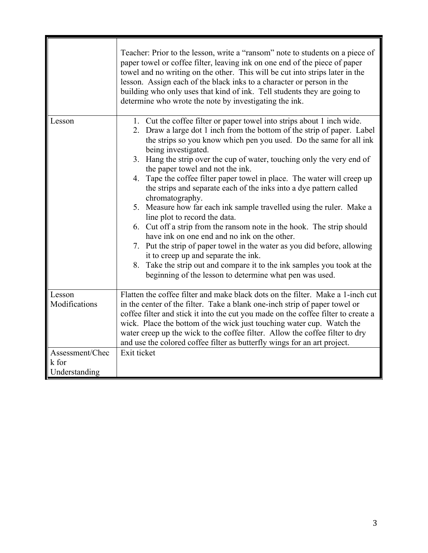|                                           | Teacher: Prior to the lesson, write a "ransom" note to students on a piece of<br>paper towel or coffee filter, leaving ink on one end of the piece of paper<br>towel and no writing on the other. This will be cut into strips later in the<br>lesson. Assign each of the black inks to a character or person in the<br>building who only uses that kind of ink. Tell students they are going to<br>determine who wrote the note by investigating the ink.                                                                                                                                                                                                                                                                                                                                                                                                                                                                                                                                                                   |
|-------------------------------------------|------------------------------------------------------------------------------------------------------------------------------------------------------------------------------------------------------------------------------------------------------------------------------------------------------------------------------------------------------------------------------------------------------------------------------------------------------------------------------------------------------------------------------------------------------------------------------------------------------------------------------------------------------------------------------------------------------------------------------------------------------------------------------------------------------------------------------------------------------------------------------------------------------------------------------------------------------------------------------------------------------------------------------|
| Lesson                                    | 1. Cut the coffee filter or paper towel into strips about 1 inch wide.<br>2. Draw a large dot 1 inch from the bottom of the strip of paper. Label<br>the strips so you know which pen you used. Do the same for all ink<br>being investigated.<br>3. Hang the strip over the cup of water, touching only the very end of<br>the paper towel and not the ink.<br>4. Tape the coffee filter paper towel in place. The water will creep up<br>the strips and separate each of the inks into a dye pattern called<br>chromatography.<br>5. Measure how far each ink sample travelled using the ruler. Make a<br>line plot to record the data.<br>6. Cut off a strip from the ransom note in the hook. The strip should<br>have ink on one end and no ink on the other.<br>7. Put the strip of paper towel in the water as you did before, allowing<br>it to creep up and separate the ink.<br>8. Take the strip out and compare it to the ink samples you took at the<br>beginning of the lesson to determine what pen was used. |
| Lesson<br>Modifications                   | Flatten the coffee filter and make black dots on the filter. Make a 1-inch cut<br>in the center of the filter. Take a blank one-inch strip of paper towel or<br>coffee filter and stick it into the cut you made on the coffee filter to create a<br>wick. Place the bottom of the wick just touching water cup. Watch the<br>water creep up the wick to the coffee filter. Allow the coffee filter to dry<br>and use the colored coffee filter as butterfly wings for an art project.                                                                                                                                                                                                                                                                                                                                                                                                                                                                                                                                       |
| Assessment/Chec<br>k for<br>Understanding | Exit ticket                                                                                                                                                                                                                                                                                                                                                                                                                                                                                                                                                                                                                                                                                                                                                                                                                                                                                                                                                                                                                  |